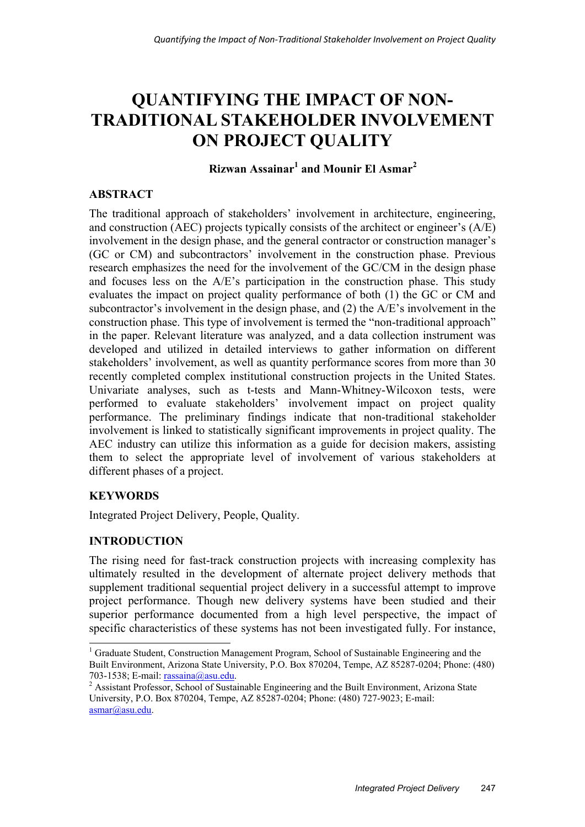# **QUANTIFYING THE IMPACT OF NON-TRADITIONAL STAKEHOLDER INVOLVEMENT ON PROJECT QUALITY**

## **Rizwan Assainar<sup>1</sup> and Mounir El Asmar<sup>2</sup>**

## **ABSTRACT**

The traditional approach of stakeholders' involvement in architecture, engineering, and construction (AEC) projects typically consists of the architect or engineer's (A/E) involvement in the design phase, and the general contractor or construction manager's (GC or CM) and subcontractors' involvement in the construction phase. Previous research emphasizes the need for the involvement of the GC/CM in the design phase and focuses less on the A/E's participation in the construction phase. This study evaluates the impact on project quality performance of both (1) the GC or CM and subcontractor's involvement in the design phase, and (2) the A/E's involvement in the construction phase. This type of involvement is termed the "non-traditional approach" in the paper. Relevant literature was analyzed, and a data collection instrument was developed and utilized in detailed interviews to gather information on different stakeholders' involvement, as well as quantity performance scores from more than 30 recently completed complex institutional construction projects in the United States. Univariate analyses, such as t-tests and Mann-Whitney-Wilcoxon tests, were performed to evaluate stakeholders' involvement impact on project quality performance. The preliminary findings indicate that non-traditional stakeholder involvement is linked to statistically significant improvements in project quality. The AEC industry can utilize this information as a guide for decision makers, assisting them to select the appropriate level of involvement of various stakeholders at different phases of a project.

## **KEYWORDS**

1

Integrated Project Delivery, People, Quality.

## **INTRODUCTION**

The rising need for fast-track construction projects with increasing complexity has ultimately resulted in the development of alternate project delivery methods that supplement traditional sequential project delivery in a successful attempt to improve project performance. Though new delivery systems have been studied and their superior performance documented from a high level perspective, the impact of specific characteristics of these systems has not been investigated fully. For instance,

<sup>&</sup>lt;sup>1</sup> Graduate Student, Construction Management Program, School of Sustainable Engineering and the Built Environment, Arizona State University, P.O. Box 870204, Tempe, AZ 85287-0204; Phone: (480) 703-1538; E-mail: rassaina@asu.edu. <sup>2</sup>

<sup>&</sup>lt;sup>2</sup> Assistant Professor, School of Sustainable Engineering and the Built Environment, Arizona State University, P.O. Box 870204, Tempe, AZ 85287-0204; Phone: (480) 727-9023; E-mail: asmar@asu.edu.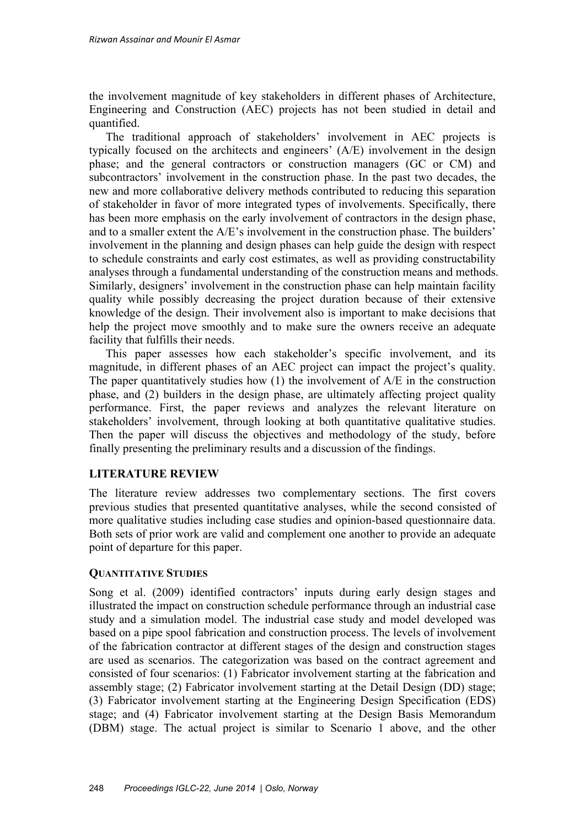the involvement magnitude of key stakeholders in different phases of Architecture, Engineering and Construction (AEC) projects has not been studied in detail and quantified.

The traditional approach of stakeholders' involvement in AEC projects is typically focused on the architects and engineers' (A/E) involvement in the design phase; and the general contractors or construction managers (GC or CM) and subcontractors' involvement in the construction phase. In the past two decades, the new and more collaborative delivery methods contributed to reducing this separation of stakeholder in favor of more integrated types of involvements. Specifically, there has been more emphasis on the early involvement of contractors in the design phase, and to a smaller extent the A/E's involvement in the construction phase. The builders' involvement in the planning and design phases can help guide the design with respect to schedule constraints and early cost estimates, as well as providing constructability analyses through a fundamental understanding of the construction means and methods. Similarly, designers' involvement in the construction phase can help maintain facility quality while possibly decreasing the project duration because of their extensive knowledge of the design. Their involvement also is important to make decisions that help the project move smoothly and to make sure the owners receive an adequate facility that fulfills their needs.

This paper assesses how each stakeholder's specific involvement, and its magnitude, in different phases of an AEC project can impact the project's quality. The paper quantitatively studies how  $(1)$  the involvement of  $A/E$  in the construction phase, and (2) builders in the design phase, are ultimately affecting project quality performance. First, the paper reviews and analyzes the relevant literature on stakeholders' involvement, through looking at both quantitative qualitative studies. Then the paper will discuss the objectives and methodology of the study, before finally presenting the preliminary results and a discussion of the findings.

### **LITERATURE REVIEW**

The literature review addresses two complementary sections. The first covers previous studies that presented quantitative analyses, while the second consisted of more qualitative studies including case studies and opinion-based questionnaire data. Both sets of prior work are valid and complement one another to provide an adequate point of departure for this paper.

#### **QUANTITATIVE STUDIES**

Song et al. (2009) identified contractors' inputs during early design stages and illustrated the impact on construction schedule performance through an industrial case study and a simulation model. The industrial case study and model developed was based on a pipe spool fabrication and construction process. The levels of involvement of the fabrication contractor at different stages of the design and construction stages are used as scenarios. The categorization was based on the contract agreement and consisted of four scenarios: (1) Fabricator involvement starting at the fabrication and assembly stage; (2) Fabricator involvement starting at the Detail Design (DD) stage; (3) Fabricator involvement starting at the Engineering Design Specification (EDS) stage; and (4) Fabricator involvement starting at the Design Basis Memorandum (DBM) stage. The actual project is similar to Scenario 1 above, and the other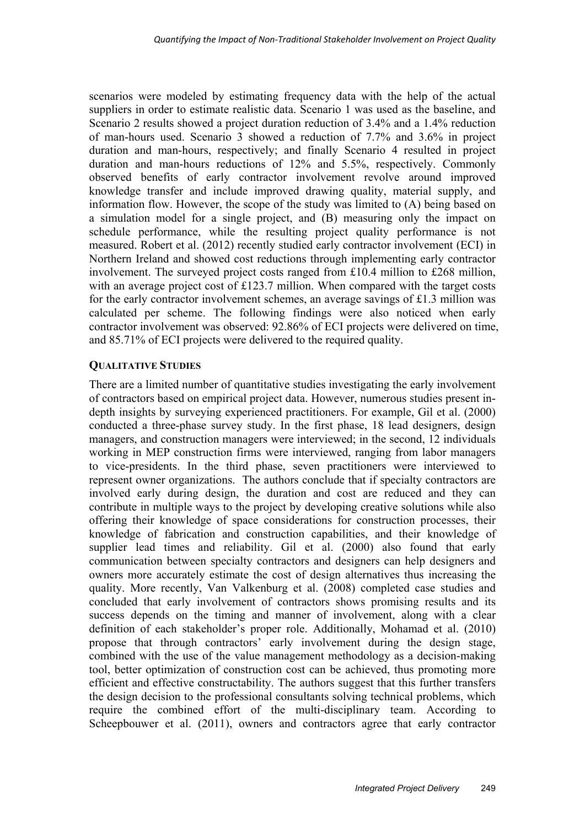scenarios were modeled by estimating frequency data with the help of the actual suppliers in order to estimate realistic data. Scenario 1 was used as the baseline, and Scenario 2 results showed a project duration reduction of 3.4% and a 1.4% reduction of man-hours used. Scenario 3 showed a reduction of 7.7% and 3.6% in project duration and man-hours, respectively; and finally Scenario 4 resulted in project duration and man-hours reductions of 12% and 5.5%, respectively. Commonly observed benefits of early contractor involvement revolve around improved knowledge transfer and include improved drawing quality, material supply, and information flow. However, the scope of the study was limited to (A) being based on a simulation model for a single project, and (B) measuring only the impact on schedule performance, while the resulting project quality performance is not measured. Robert et al. (2012) recently studied early contractor involvement (ECI) in Northern Ireland and showed cost reductions through implementing early contractor involvement. The surveyed project costs ranged from £10.4 million to £268 million, with an average project cost of £123.7 million. When compared with the target costs for the early contractor involvement schemes, an average savings of £1.3 million was calculated per scheme. The following findings were also noticed when early contractor involvement was observed: 92.86% of ECI projects were delivered on time, and 85.71% of ECI projects were delivered to the required quality.

#### **QUALITATIVE STUDIES**

There are a limited number of quantitative studies investigating the early involvement of contractors based on empirical project data. However, numerous studies present indepth insights by surveying experienced practitioners. For example, Gil et al. (2000) conducted a three-phase survey study. In the first phase, 18 lead designers, design managers, and construction managers were interviewed; in the second, 12 individuals working in MEP construction firms were interviewed, ranging from labor managers to vice-presidents. In the third phase, seven practitioners were interviewed to represent owner organizations. The authors conclude that if specialty contractors are involved early during design, the duration and cost are reduced and they can contribute in multiple ways to the project by developing creative solutions while also offering their knowledge of space considerations for construction processes, their knowledge of fabrication and construction capabilities, and their knowledge of supplier lead times and reliability. Gil et al. (2000) also found that early communication between specialty contractors and designers can help designers and owners more accurately estimate the cost of design alternatives thus increasing the quality. More recently, Van Valkenburg et al. (2008) completed case studies and concluded that early involvement of contractors shows promising results and its success depends on the timing and manner of involvement, along with a clear definition of each stakeholder's proper role. Additionally, Mohamad et al. (2010) propose that through contractors' early involvement during the design stage, combined with the use of the value management methodology as a decision-making tool, better optimization of construction cost can be achieved, thus promoting more efficient and effective constructability. The authors suggest that this further transfers the design decision to the professional consultants solving technical problems, which require the combined effort of the multi-disciplinary team. According to Scheepbouwer et al. (2011), owners and contractors agree that early contractor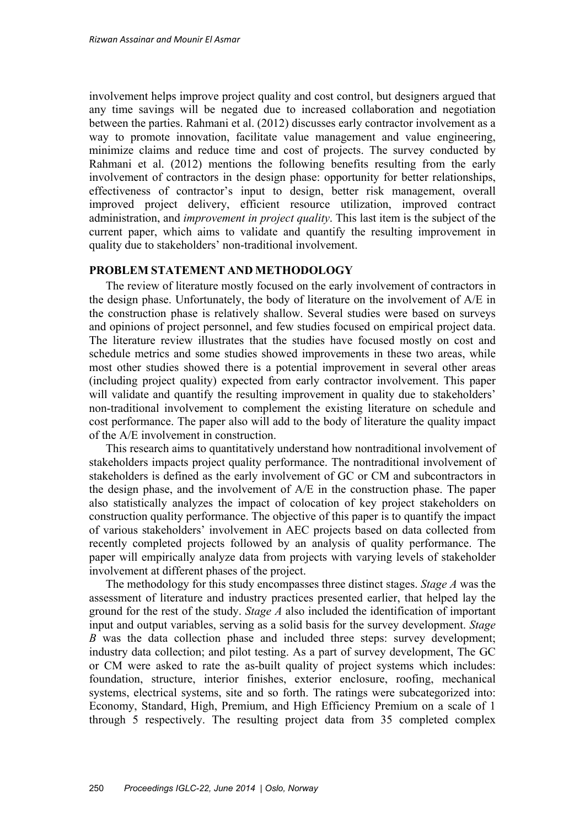involvement helps improve project quality and cost control, but designers argued that any time savings will be negated due to increased collaboration and negotiation between the parties. Rahmani et al. (2012) discusses early contractor involvement as a way to promote innovation, facilitate value management and value engineering, minimize claims and reduce time and cost of projects. The survey conducted by Rahmani et al. (2012) mentions the following benefits resulting from the early involvement of contractors in the design phase: opportunity for better relationships, effectiveness of contractor's input to design, better risk management, overall improved project delivery, efficient resource utilization, improved contract administration, and *improvement in project quality*. This last item is the subject of the current paper, which aims to validate and quantify the resulting improvement in quality due to stakeholders' non-traditional involvement.

#### **PROBLEM STATEMENT AND METHODOLOGY**

The review of literature mostly focused on the early involvement of contractors in the design phase. Unfortunately, the body of literature on the involvement of A/E in the construction phase is relatively shallow. Several studies were based on surveys and opinions of project personnel, and few studies focused on empirical project data. The literature review illustrates that the studies have focused mostly on cost and schedule metrics and some studies showed improvements in these two areas, while most other studies showed there is a potential improvement in several other areas (including project quality) expected from early contractor involvement. This paper will validate and quantify the resulting improvement in quality due to stakeholders' non-traditional involvement to complement the existing literature on schedule and cost performance. The paper also will add to the body of literature the quality impact of the A/E involvement in construction.

This research aims to quantitatively understand how nontraditional involvement of stakeholders impacts project quality performance. The nontraditional involvement of stakeholders is defined as the early involvement of GC or CM and subcontractors in the design phase, and the involvement of A/E in the construction phase. The paper also statistically analyzes the impact of colocation of key project stakeholders on construction quality performance. The objective of this paper is to quantify the impact of various stakeholders' involvement in AEC projects based on data collected from recently completed projects followed by an analysis of quality performance. The paper will empirically analyze data from projects with varying levels of stakeholder involvement at different phases of the project.

The methodology for this study encompasses three distinct stages. *Stage A* was the assessment of literature and industry practices presented earlier, that helped lay the ground for the rest of the study. *Stage A* also included the identification of important input and output variables, serving as a solid basis for the survey development. *Stage B* was the data collection phase and included three steps: survey development; industry data collection; and pilot testing. As a part of survey development, The GC or CM were asked to rate the as-built quality of project systems which includes: foundation, structure, interior finishes, exterior enclosure, roofing, mechanical systems, electrical systems, site and so forth. The ratings were subcategorized into: Economy, Standard, High, Premium, and High Efficiency Premium on a scale of 1 through 5 respectively. The resulting project data from 35 completed complex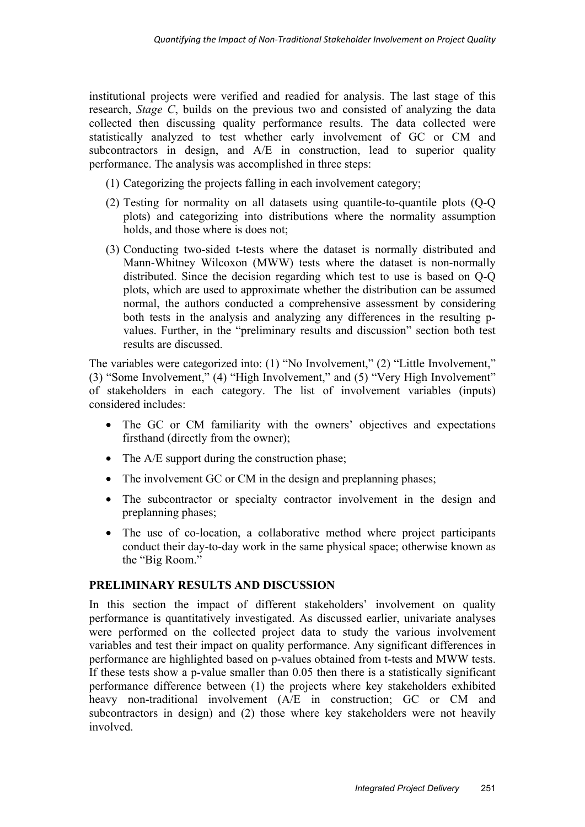institutional projects were verified and readied for analysis. The last stage of this research, *Stage C*, builds on the previous two and consisted of analyzing the data collected then discussing quality performance results. The data collected were statistically analyzed to test whether early involvement of GC or CM and subcontractors in design, and A/E in construction, lead to superior quality performance. The analysis was accomplished in three steps:

- (1) Categorizing the projects falling in each involvement category;
- (2) Testing for normality on all datasets using quantile-to-quantile plots (Q-Q plots) and categorizing into distributions where the normality assumption holds, and those where is does not;
- (3) Conducting two-sided t-tests where the dataset is normally distributed and Mann-Whitney Wilcoxon (MWW) tests where the dataset is non-normally distributed. Since the decision regarding which test to use is based on Q-Q plots, which are used to approximate whether the distribution can be assumed normal, the authors conducted a comprehensive assessment by considering both tests in the analysis and analyzing any differences in the resulting pvalues. Further, in the "preliminary results and discussion" section both test results are discussed.

The variables were categorized into: (1) "No Involvement," (2) "Little Involvement," (3) "Some Involvement," (4) "High Involvement," and (5) "Very High Involvement" of stakeholders in each category. The list of involvement variables (inputs) considered includes:

- The GC or CM familiarity with the owners' objectives and expectations firsthand (directly from the owner);
- The A/E support during the construction phase;
- The involvement GC or CM in the design and preplanning phases:
- The subcontractor or specialty contractor involvement in the design and preplanning phases;
- The use of co-location, a collaborative method where project participants conduct their day-to-day work in the same physical space; otherwise known as the "Big Room."

## **PRELIMINARY RESULTS AND DISCUSSION**

In this section the impact of different stakeholders' involvement on quality performance is quantitatively investigated. As discussed earlier, univariate analyses were performed on the collected project data to study the various involvement variables and test their impact on quality performance. Any significant differences in performance are highlighted based on p-values obtained from t-tests and MWW tests. If these tests show a p-value smaller than 0.05 then there is a statistically significant performance difference between (1) the projects where key stakeholders exhibited heavy non-traditional involvement (A/E in construction; GC or CM and subcontractors in design) and (2) those where key stakeholders were not heavily involved.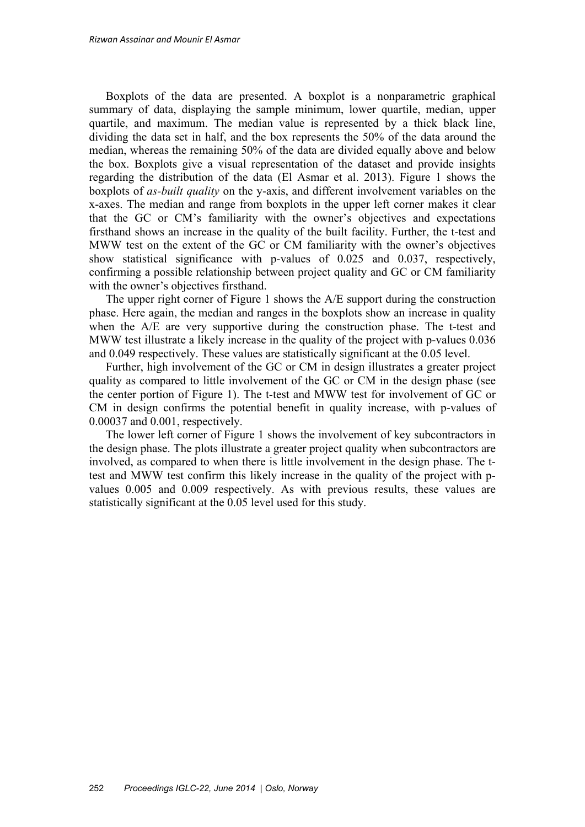Boxplots of the data are presented. A boxplot is a nonparametric graphical summary of data, displaying the sample minimum, lower quartile, median, upper quartile, and maximum. The median value is represented by a thick black line, dividing the data set in half, and the box represents the 50% of the data around the median, whereas the remaining 50% of the data are divided equally above and below the box. Boxplots give a visual representation of the dataset and provide insights regarding the distribution of the data (El Asmar et al. 2013). Figure 1 shows the boxplots of *as-built quality* on the y-axis, and different involvement variables on the x-axes. The median and range from boxplots in the upper left corner makes it clear that the GC or CM's familiarity with the owner's objectives and expectations firsthand shows an increase in the quality of the built facility. Further, the t-test and MWW test on the extent of the GC or CM familiarity with the owner's objectives show statistical significance with p-values of 0.025 and 0.037, respectively, confirming a possible relationship between project quality and GC or CM familiarity with the owner's objectives firsthand.

The upper right corner of Figure 1 shows the A/E support during the construction phase. Here again, the median and ranges in the boxplots show an increase in quality when the A/E are very supportive during the construction phase. The t-test and MWW test illustrate a likely increase in the quality of the project with p-values 0.036 and 0.049 respectively. These values are statistically significant at the 0.05 level.

Further, high involvement of the GC or CM in design illustrates a greater project quality as compared to little involvement of the GC or CM in the design phase (see the center portion of Figure 1). The t-test and MWW test for involvement of GC or CM in design confirms the potential benefit in quality increase, with p-values of 0.00037 and 0.001, respectively.

The lower left corner of Figure 1 shows the involvement of key subcontractors in the design phase. The plots illustrate a greater project quality when subcontractors are involved, as compared to when there is little involvement in the design phase. The ttest and MWW test confirm this likely increase in the quality of the project with pvalues 0.005 and 0.009 respectively. As with previous results, these values are statistically significant at the 0.05 level used for this study.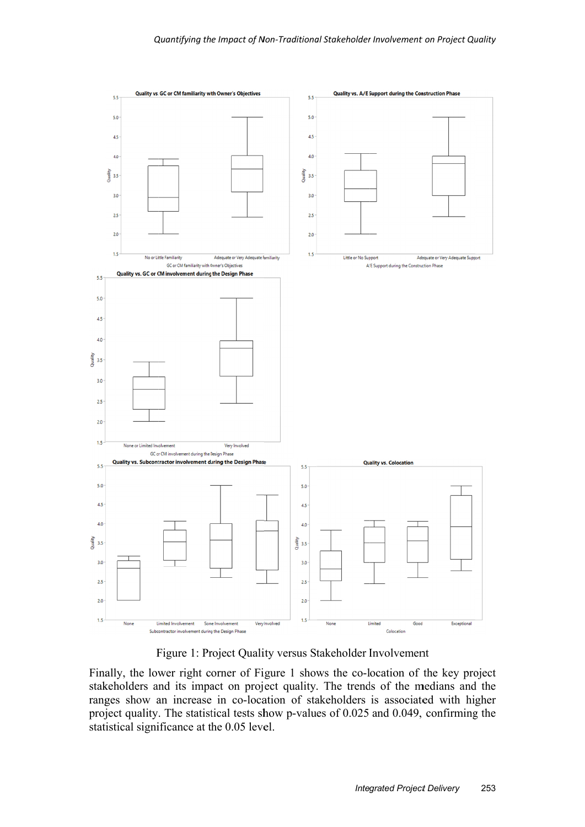

Figure 1: Project Quality versus Stakeholder Involvement

Finally, the lower right corner of Figure 1 shows the co-location of the key project stakeholders and its impact on project quality. The trends of the medians and the ranges show an increase in co-location of stakeholders is associated with higher project quality. The statistical tests show p-values of 0.025 and 0.049, confirming the statistical significance at the 0.05 level.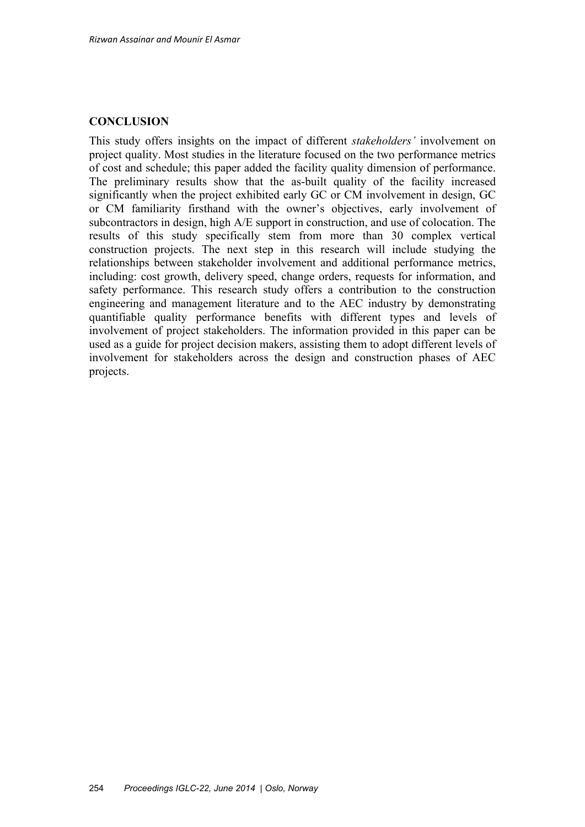## **CONCLUSION**

This study offers insights on the impact of different *stakeholders'* involvement on project quality. Most studies in the literature focused on the two performance metrics of cost and schedule; this paper added the facility quality dimension of performance. The preliminary results show that the as-built quality of the facility increased significantly when the project exhibited early GC or CM involvement in design, GC or CM familiarity firsthand with the owner's objectives, early involvement of subcontractors in design, high A/E support in construction, and use of colocation. The results of this study specifically stem from more than 30 complex vertical construction projects. The next step in this research will include studying the relationships between stakeholder involvement and additional performance metrics, including: cost growth, delivery speed, change orders, requests for information, and safety performance. This research study offers a contribution to the construction engineering and management literature and to the AEC industry by demonstrating quantifiable quality performance benefits with different types and levels of involvement of project stakeholders. The information provided in this paper can be used as a guide for project decision makers, assisting them to adopt different levels of involvement for stakeholders across the design and construction phases of AEC projects.